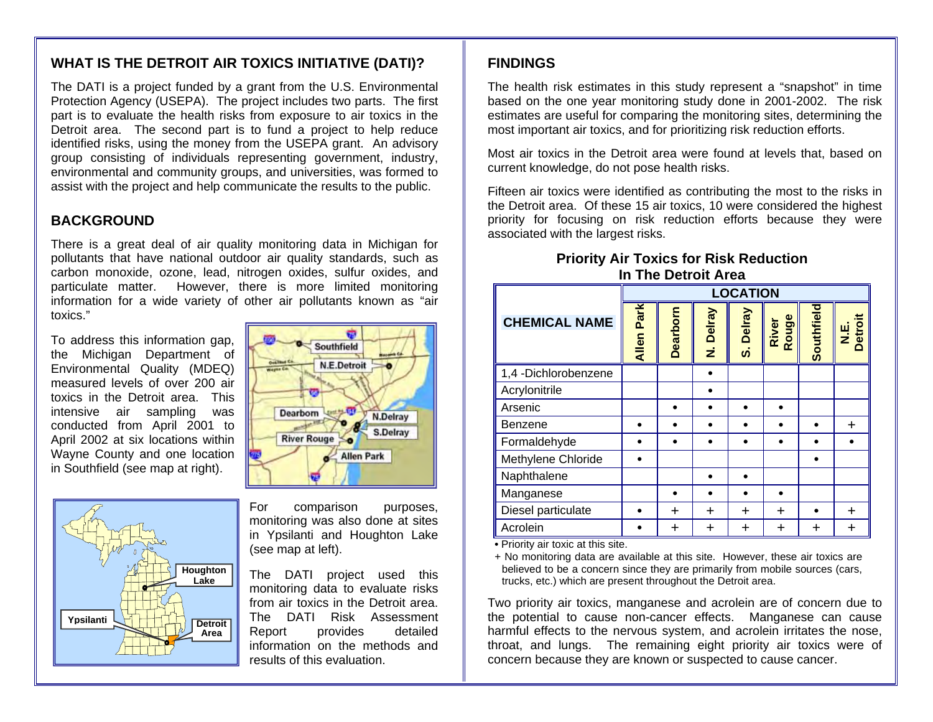### **WHAT IS THE DETROIT AIR TOXICS INITIATIVE (DATI)?**

The DATI is a project funded by a grant from the U.S. Environmental Protection Agency (USEPA). The project includes two parts. The first part is to evaluate the health risks from exposure to air toxics in the Detroit area. The second part is to fund a project to help reduce identified risks, using the money from the USEPA grant. An advisory group consisting of individuals representing government, industry, environmental and community groups, and universities, was formed to assist with the project and help communicate the results to the public.

#### **BACKGROUND**

There is a great deal of air quality monitoring data in Michigan for pollutants that have national outdoor air quality standards, such as carbon monoxide, ozone, lead, nitrogen oxides, sulfur oxides, and particulate matter. However, there is more limited monitoring information for a wide variety of other air pollutants known as "air toxics."

To address this information gap, the Michigan Department of Environmental Quality (MDEQ) measured levels of over 200 air toxics in the Detroit area. This intensive air sampling was conducted from April 2001 to April 2002 at six locations within Wayne County and one location in Southfield (see map at right).



Southfield N.E.Detroit **Dearborn** N.Delray S.Delray **River Rouge** Allen Park

For comparison purposes, monitoring was also done at sites in Ypsilanti and Houghton Lake (see map at left).

The DATI project used this monitoring data to evaluate risks from air toxics in the Detroit area. The DATI Risk Assessment Report provides detailed information on the methods and results of this evaluation.

### **FINDINGS**

The health risk estimates in this study represent a "snapshot" in time based on the one year monitoring study done in 2001-2002. The risk estimates are useful for comparing the monitoring sites, determining the most important air toxics, and for prioritizing risk reduction efforts.

Most air toxics in the Detroit area were found at levels that, based on current knowledge, do not pose health risks.

Fifteen air toxics were identified as contributing the most to the risks in the Detroit area. Of these 15 air toxics, 10 were considered the highest priority for focusing on risk reduction efforts because they were associated with the largest risks.

#### **Priority Air Toxics for Risk Reduction In The Detroit Area**

|                      | <b>LOCATION</b>   |          |             |           |                |            |                 |
|----------------------|-------------------|----------|-------------|-----------|----------------|------------|-----------------|
| <b>CHEMICAL NAME</b> | <b>Allen Park</b> | Dearborn | Delray<br>ż | S. Delray | River<br>Rouge | Southfield | N.E.<br>Detroit |
| 1,4 -Dichlorobenzene |                   |          |             |           |                |            |                 |
| Acrylonitrile        |                   |          |             |           |                |            |                 |
| Arsenic              |                   |          |             |           |                |            |                 |
| Benzene              |                   |          |             |           |                |            | ٠               |
| Formaldehyde         |                   |          |             |           |                |            |                 |
| Methylene Chloride   |                   |          |             |           |                |            |                 |
| Naphthalene          |                   |          |             |           |                |            |                 |
| Manganese            |                   |          |             |           |                |            |                 |
| Diesel particulate   |                   | +        | ٠           | +         | ÷              |            | +               |
| Acrolein             |                   | ┿        | ٠           | +         | ٠              | ┿          | ÷               |

**•** Priority air toxic at this site.

+ No monitoring data are available at this site. However, these air toxics are believed to be a concern since they are primarily from mobile sources (cars, trucks, etc.) which are present throughout the Detroit area.

Two priority air toxics, manganese and acrolein are of concern due to the potential to cause non-cancer effects. Manganese can cause harmful effects to the nervous system, and acrolein irritates the nose, throat, and lungs. The remaining eight priority air toxics were of concern because they are known or suspected to cause cancer.